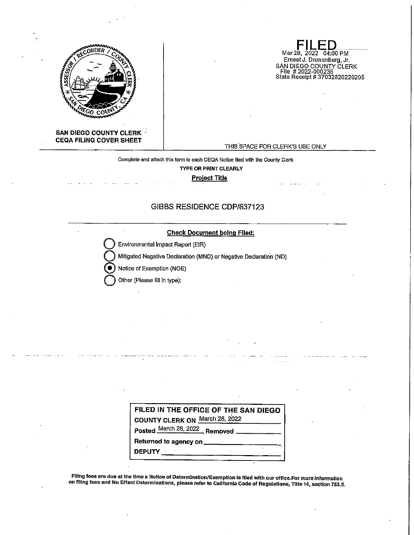

**FILED**<br>Mar 28, 2022 04:00 PM Ernest J. Dronenburg, Jr. SAN DIEGO COUNTY CLERK<br>\_File # 2022-000235 Stele Receipt# 37032820220205

THIS SPACE FOR CLERK'S USE ONLY

#### Complete and attach this form to each CEQA Notice filed with the County Clerk

**TYPE OR PRINT CLEARLY** 

**Project Title** 

# GIBBS RESIDENCE CDP/637123

# **Check Document being Flied:**

**Environmental Impact Report (EIR)** 

Mitigated Negative Declaration (MND) or Negative Declaration (ND)

@ Notice of Exemption (NOE)

**Other (Please fill in type):** 

| FILED IN THE OFFICE OF THE SAN DIEGO |
|--------------------------------------|
| COUNTY CLERK ON March 28, 2022       |
| Posted March 28, 2022 Removed        |
|                                      |
|                                      |
|                                      |

FIiing fees are due at the time a Notice of Determination/Exemption Js filed with our office.For more Information on flllng fees and No Effect Determinations, please refer to California Code of Regulations, Title 14, section 753,5.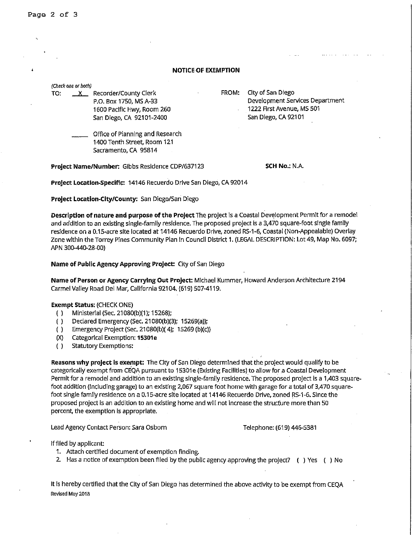Page 2 of 3

#### **NOTICE OF EXEMPTION**

|     | (Check one or both) |                                                                                                           |       |                                                                                                          |
|-----|---------------------|-----------------------------------------------------------------------------------------------------------|-------|----------------------------------------------------------------------------------------------------------|
| TO: |                     | Recorder/County Clerk<br>P.O. Box 1750, MS A-33<br>1600 Pacific Hwy, Room 260<br>San Diego, CA 92101-2400 | FROM: | City of San Diego<br>Development Services Department<br>1222 First Avenue, MS 501<br>San Diego, CA 92101 |
|     |                     | Office of Planning and Research<br>1400 Tenth Street, Room 121<br>Sacramento, CA 95814                    |       |                                                                                                          |

**Project Name/Number:** Gibbs Residence CDP/637123

**SCH No.: N.A.** 

**Project Location-specific:** 14146 Recuerdo Drive San Diego, CA 92014

**Project Location-City/County:** San Diego/San Diego

**Description of nature and purpose of the Project** The project Is a Coastal Development Permit for a remodel and addition to an existing single-family residence. The proposed project Is a 3,470 square-foot single family residence on a 0.15-acre site located at 14146 Recuerdo Drive, zoned RS-1-6, Coastal (Non-Appealable) Overlay Zone within the Torrey Pines Community Plan In Council District **1.** (LEGAL DESCRIPTION: Lot 49, Map No. 6097; APN 300-440-28-00)

**Name of Public Agency Approving Project:** City of San Diego

**Name of Person or Agency Carrying Out Project:** Michael Kummer, Howard Anderson Architecture 2194 Carmel Valley Road Del Mar, California 92104. (619) 507-4119.

## **Exempt Status:** (CHECK ONE)

- ( ) Ministerial (Sec. 21080(b)(1 ); 15268);
- ( ) Declared Emergency (Sec. 21080(b)(3); 15269(a));
- ( ) Emergency Project (Sec. 21080(b)( 4); 15269 (b)(c))
- ()() Categorical Exemption: **153D1e**
- ( ) Statutory Exemptions:

**Reasons why project is exempt:** The City of San Diego determined that the project would qualify to be categorically exempt from CEQA pursuant to 15301e (Existing Facilities) to allow for a Coastal Development Permit for a remodel and addition to an existing single-family residence. The proposed project Is a 1,403 squarefoot addition (Including garage) to an existing 2,067 square foot home with garage for a total of 3,470 squarefoot single family residence on a 0.15-acre site located at 14146 Recuerdo Drive, zoned RS-1-6. Since the proposed project is an addition to an existing home and will not increase the structure more than 50 percent, the exemption Is appropriate.

Lead Agency Contact Person: Sara Osborn Telephone: (619) 446-5381

If flied by applicant:

- 1. Attach certified document of exemption finding.
- 2. Has a notice of exemption been flied by the public agency approving the project? ( ) Yes ( ) No

It Is hereby certified that the City of San Diego has determined the above activity to be exempt from CEQA **Revised May 2018**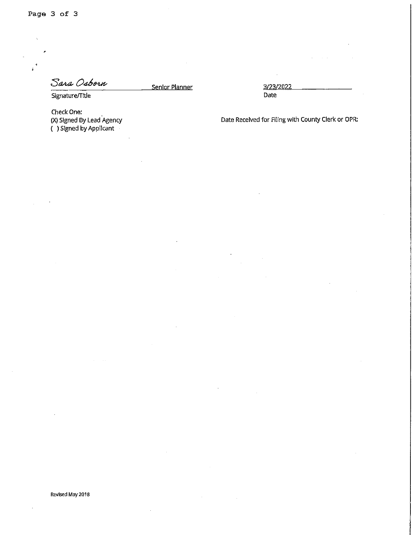Sara Osborn

Senior Planner 3/23/2022

Signature/Title

Check One: (X) Signed By Lead Agency ( ) Signed by Appllcant

Date

Date Received for Filing with County Clerk or OPR: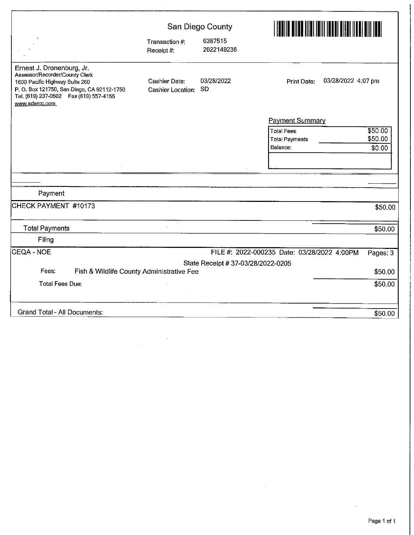|                                                                                                                                                                                                          | San Diego County                   |                                    | <u>I ENIN DINUNISI INI MUUTISE TAA KAN</u>       |                              |  |
|----------------------------------------------------------------------------------------------------------------------------------------------------------------------------------------------------------|------------------------------------|------------------------------------|--------------------------------------------------|------------------------------|--|
|                                                                                                                                                                                                          | Transaction #:<br>Receipt#:        | 6387515<br>2022149236              |                                                  |                              |  |
| Ernest J. Dronenburg, Jr.<br>Assessor/Recorder/County Clerk<br>1600 Pacific Highway Suite 260<br>P. O. Box 121750, San Diego, CA 92112-1750<br>Tel. (619) 237-0502  Fax (619) 557-4155<br>www.sdarcc.com | Cashier Date:<br>Cashier Location: | 03/28/2022<br>SD.                  | 03/28/2022 4:07 pm<br>Print Date:                |                              |  |
|                                                                                                                                                                                                          |                                    |                                    | <b>Payment Summary</b>                           |                              |  |
|                                                                                                                                                                                                          |                                    |                                    | <b>Total Fees:</b><br>Total Payments<br>Balance: | \$50.00<br>\$50.00<br>\$0.00 |  |
|                                                                                                                                                                                                          |                                    |                                    |                                                  |                              |  |
|                                                                                                                                                                                                          |                                    |                                    |                                                  |                              |  |
| Payment                                                                                                                                                                                                  |                                    |                                    |                                                  |                              |  |
|                                                                                                                                                                                                          |                                    |                                    |                                                  |                              |  |
| CHECK PAYMENT #10173                                                                                                                                                                                     |                                    |                                    |                                                  | \$50.00                      |  |
| <b>Total Payments</b>                                                                                                                                                                                    |                                    |                                    |                                                  | \$50.00                      |  |
| Filing                                                                                                                                                                                                   |                                    |                                    |                                                  |                              |  |
| CEQA - NOE                                                                                                                                                                                               |                                    |                                    | FILE #: 2022-000235 Date: 03/28/2022 4:00PM      | Pages: 3                     |  |
|                                                                                                                                                                                                          |                                    | State Receipt # 37-03/28/2022-0205 |                                                  |                              |  |
| Fees:<br>Fish & Wildlife County Administrative Fee                                                                                                                                                       |                                    |                                    |                                                  | \$50.00                      |  |
| <b>Total Fees Due:</b>                                                                                                                                                                                   |                                    |                                    |                                                  | \$50.00                      |  |
| <b>Grand Total - All Documents:</b>                                                                                                                                                                      |                                    |                                    |                                                  | \$50.00                      |  |

 $\bar{\beta}$ 

 $\bar{z}$